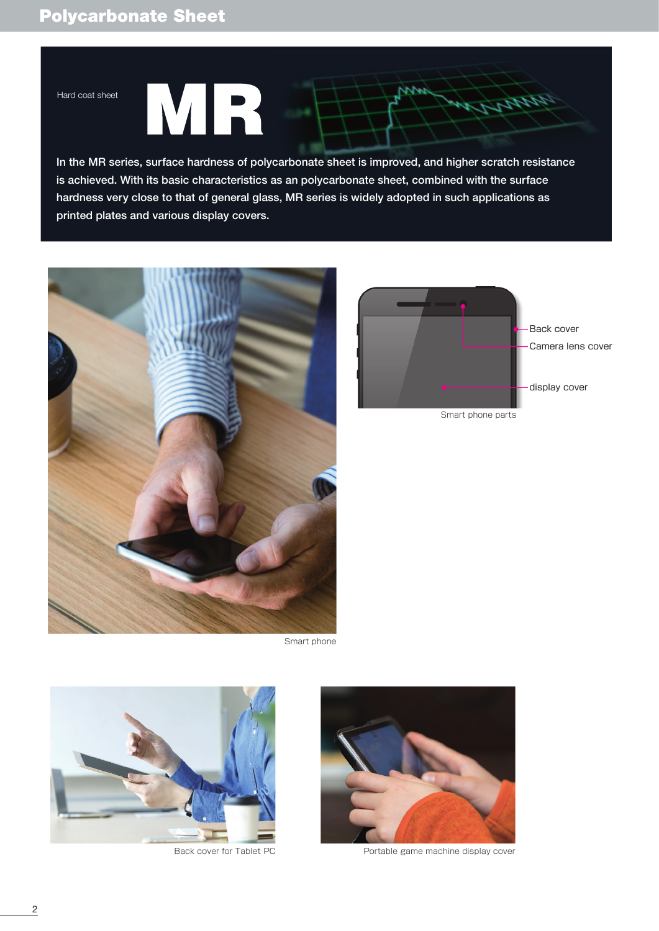# Polycarbonate Sheet

### Hard coat sheet

R M

In the MR series, surface hardness of polycarbonate sheet is improved, and higher scratch resistance is achieved. With its basic characteristics as an polycarbonate sheet, combined with the surface hardness very close to that of general glass, MR series is widely adopted in such applications as printed plates and various display covers.



Smart phone





Back cover for Tablet PC Portable game machine display cover



**ALIANA** 

Smart phone parts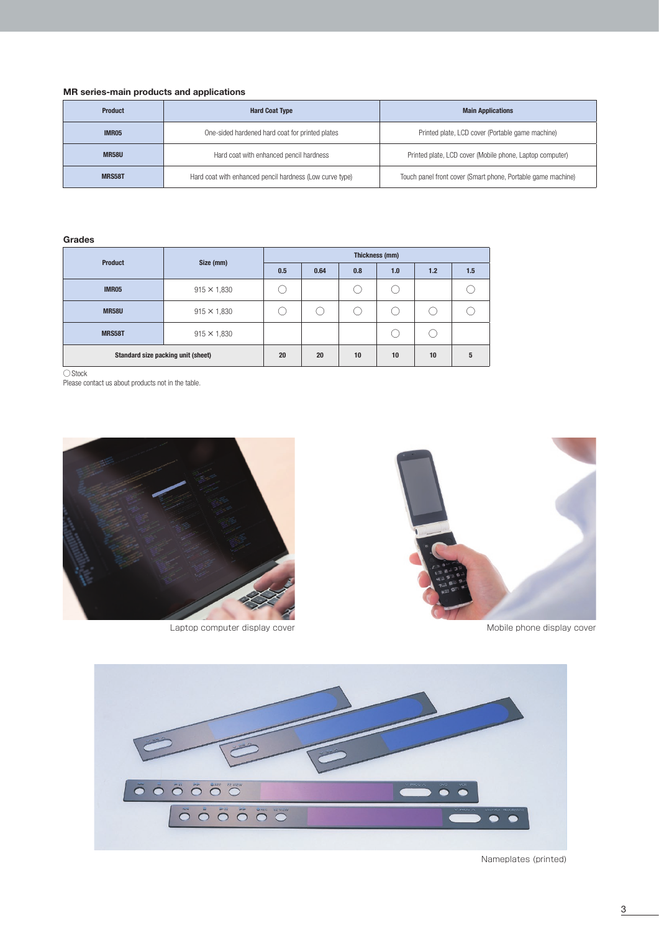## **MR series-main products and applications**

| <b>Product</b> | <b>Hard Coat Type</b>                                    | <b>Main Applications</b>                                     |  |  |
|----------------|----------------------------------------------------------|--------------------------------------------------------------|--|--|
| <b>IMR05</b>   | One-sided hardened hard coat for printed plates          | Printed plate, LCD cover (Portable game machine)             |  |  |
| <b>MR58U</b>   | Hard coat with enhanced pencil hardness                  | Printed plate, LCD cover (Mobile phone, Laptop computer)     |  |  |
| MRS58T         | Hard coat with enhanced pencil hardness (Low curve type) | Touch panel front cover (Smart phone, Portable game machine) |  |  |

#### **Grades**

| <b>Product</b>                     | Size (mm)          | Thickness (mm) |      |     |     |     |     |
|------------------------------------|--------------------|----------------|------|-----|-----|-----|-----|
|                                    |                    | 0.5            | 0.64 | 0.8 | 1.0 | 1.2 | 1.5 |
| <b>IMR05</b>                       | $915 \times 1,830$ |                |      |     |     |     |     |
| <b>MR58U</b>                       | $915 \times 1,830$ |                |      |     |     |     |     |
| MRS58T                             | $915 \times 1,830$ |                |      |     |     |     |     |
| Standard size packing unit (sheet) |                    | 20             | 20   | 10  | 10  | 10  | 5   |

○Stock

Please contact us about products not in the table.



Laptop computer display cover and a set of the Mobile phone display cover





Nameplates (printed)